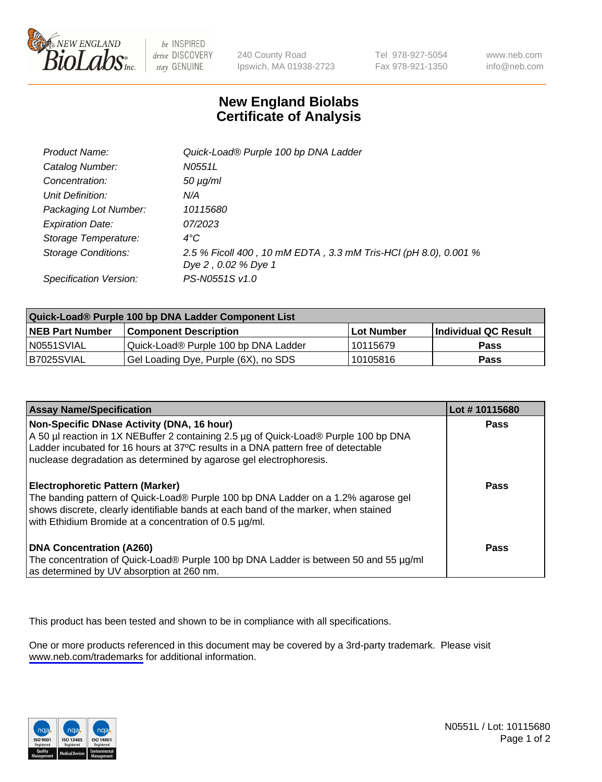

be INSPIRED drive DISCOVERY stay GENUINE

240 County Road Ipswich, MA 01938-2723 Tel 978-927-5054 Fax 978-921-1350

www.neb.com info@neb.com

## **New England Biolabs Certificate of Analysis**

| Product Name:           | Quick-Load® Purple 100 bp DNA Ladder                                                   |
|-------------------------|----------------------------------------------------------------------------------------|
| Catalog Number:         | N0551L                                                                                 |
| Concentration:          | $50 \mu g/ml$                                                                          |
| Unit Definition:        | N/A                                                                                    |
| Packaging Lot Number:   | 10115680                                                                               |
| <b>Expiration Date:</b> | 07/2023                                                                                |
| Storage Temperature:    | $4^{\circ}$ C                                                                          |
| Storage Conditions:     | 2.5 % Ficoll 400, 10 mM EDTA, 3.3 mM Tris-HCl (pH 8.0), 0.001 %<br>Dye 2, 0.02 % Dye 1 |
| Specification Version:  | PS-N0551S v1.0                                                                         |

| Quick-Load® Purple 100 bp DNA Ladder Component List |                                      |              |                      |  |
|-----------------------------------------------------|--------------------------------------|--------------|----------------------|--|
| <b>NEB Part Number</b>                              | <b>Component Description</b>         | l Lot Number | Individual QC Result |  |
| N0551SVIAL                                          | Quick-Load® Purple 100 bp DNA Ladder | l 10115679   | <b>Pass</b>          |  |
| B7025SVIAL                                          | Gel Loading Dye, Purple (6X), no SDS | 10105816     | <b>Pass</b>          |  |

| <b>Assay Name/Specification</b>                                                                                                                                                                                                                                                               | Lot #10115680 |
|-----------------------------------------------------------------------------------------------------------------------------------------------------------------------------------------------------------------------------------------------------------------------------------------------|---------------|
| Non-Specific DNase Activity (DNA, 16 hour)<br>A 50 µl reaction in 1X NEBuffer 2 containing 2.5 µg of Quick-Load® Purple 100 bp DNA<br>Ladder incubated for 16 hours at 37°C results in a DNA pattern free of detectable<br>nuclease degradation as determined by agarose gel electrophoresis. | Pass          |
| <b>Electrophoretic Pattern (Marker)</b><br>The banding pattern of Quick-Load® Purple 100 bp DNA Ladder on a 1.2% agarose gel<br>shows discrete, clearly identifiable bands at each band of the marker, when stained<br>with Ethidium Bromide at a concentration of 0.5 µg/ml.                 | Pass          |
| <b>DNA Concentration (A260)</b><br>The concentration of Quick-Load® Purple 100 bp DNA Ladder is between 50 and 55 µg/ml<br>as determined by UV absorption at 260 nm.                                                                                                                          | Pass          |

This product has been tested and shown to be in compliance with all specifications.

One or more products referenced in this document may be covered by a 3rd-party trademark. Please visit <www.neb.com/trademarks>for additional information.